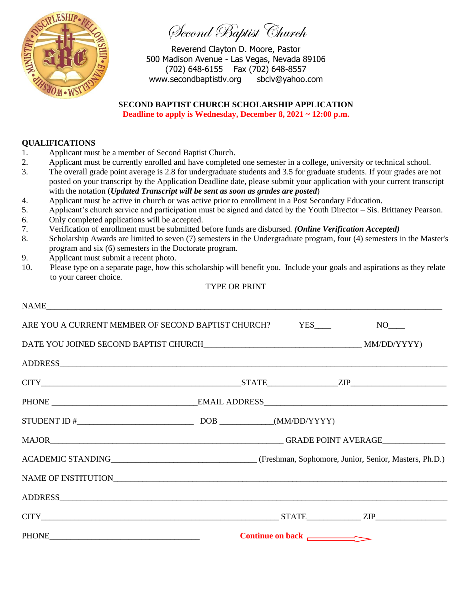

Second Baptist Church

Reverend Clayton D. Moore, Pastor 500 Madison Avenue - Las Vegas, Nevada 89106 (702) 648-6155 Fax (702) 648-8557 www.secondbaptistlv.org sbclv@yahoo.com

## **SECOND BAPTIST CHURCH SCHOLARSHIP APPLICATION**

**Deadline to apply is Wednesday, December 8, 2021 ~ 12:00 p.m.**

## **QUALIFICATIONS**

- 1. Applicant must be a member of Second Baptist Church.
- 2. Applicant must be currently enrolled and have completed one semester in a college, university or technical school.
- 3. The overall grade point average is 2.8 for undergraduate students and 3.5 for graduate students. If your grades are not posted on your transcript by the Application Deadline date, please submit your application with your current transcript with the notation (*Updated Transcript will be sent as soon as grades are posted*)
- 4. Applicant must be active in church or was active prior to enrollment in a Post Secondary Education.
- 5. Applicant's church service and participation must be signed and dated by the Youth Director Sis. Brittaney Pearson.
- 6. Only completed applications will be accepted.
- 7. Verification of enrollment must be submitted before funds are disbursed. *(Online Verification Accepted)*
- 8. Scholarship Awards are limited to seven (7) semesters in the Undergraduate program, four (4) semesters in the Master's program and six (6) semesters in the Doctorate program.
- 9. Applicant must submit a recent photo.
- 10.Please type on a separate page, how this scholarship will benefit you. Include your goals and aspirations as they relate to your career choice.

## TYPE OR PRINT

| NAME |                    |
|------|--------------------|
|      |                    |
|      |                    |
|      |                    |
|      | $CITY$ 2IP         |
|      |                    |
|      |                    |
|      |                    |
|      |                    |
|      |                    |
|      |                    |
|      | $CITY$ $ZIP$ $ZIP$ |
|      | Continue on back   |